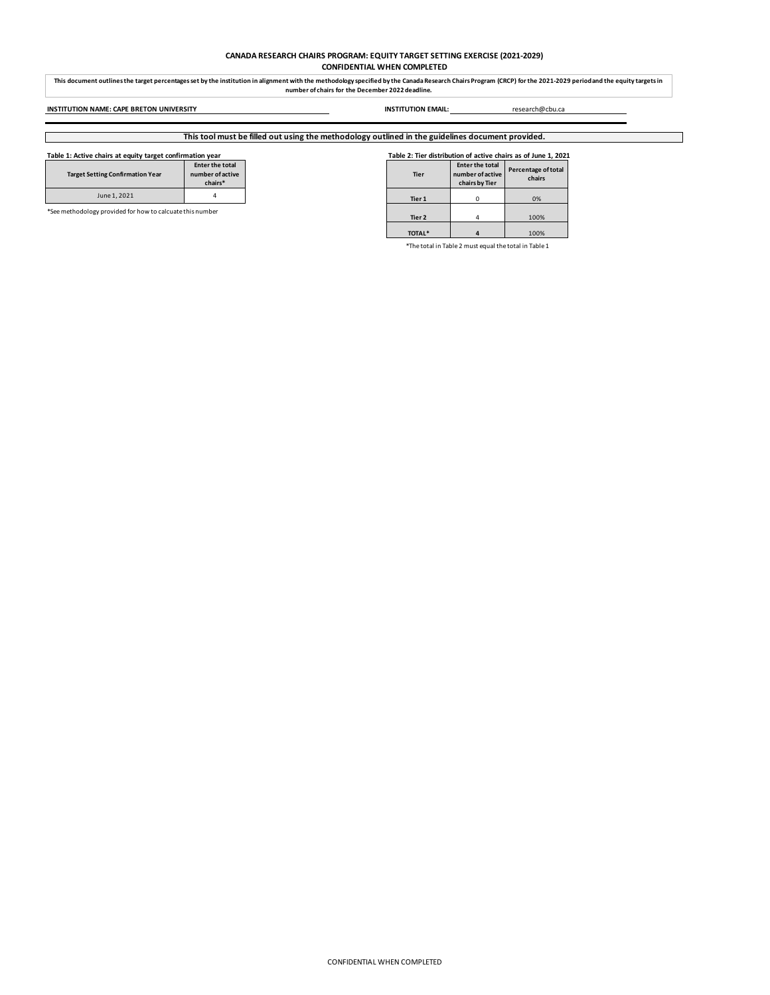# **CANADA RESEARCH CHAIRS PROGRAM: EQUITY TARGET SETTING EXERCISE (2021-2029) CONFIDENTIAL WHEN COMPLETED**

This document outlines the target percentages set by the institution in alignment with the methodology specified by the Canada Research Chairs Program (CRCP) for the 2021-2029 period and the equity targets in<br>number of cha

**INSTITUTION NAME: CAPE BRETON UNIVERSITY INSTITUTION EMAIL:** research@cbu.ca

# **This tool must be filled out using the methodology outlined in the guidelines document provided.**

| Table 1: Active chairs at equity target confirmation year |                                                |  |        | Table 2: Tier distribution of active chairs as of June 1, 2021 |                               |  |  |  |  |
|-----------------------------------------------------------|------------------------------------------------|--|--------|----------------------------------------------------------------|-------------------------------|--|--|--|--|
| <b>Target Setting Confirmation Year</b>                   | Enter the total<br>number of active<br>chairs* |  | Tier   | <b>Enter the total</b><br>number of active<br>chairs by Tier   | Percentage of total<br>chairs |  |  |  |  |
| June 1, 2021                                              |                                                |  | Tier 1 |                                                                | 0%                            |  |  |  |  |

\*See methodology provided for how to calcuate this number

| Table 2: Tier distribution of active chairs as of June 1, 202 |                                                       |                               |  |  |  |  |  |
|---------------------------------------------------------------|-------------------------------------------------------|-------------------------------|--|--|--|--|--|
| Tier                                                          | Enter the total<br>number of active<br>chairs by Tier | Percentage of total<br>chairs |  |  |  |  |  |
|                                                               |                                                       |                               |  |  |  |  |  |

**Tier 2** 4 100% **TOTAL\* 4** 100%

\*The total in Table 2 must equal the total in Table 1